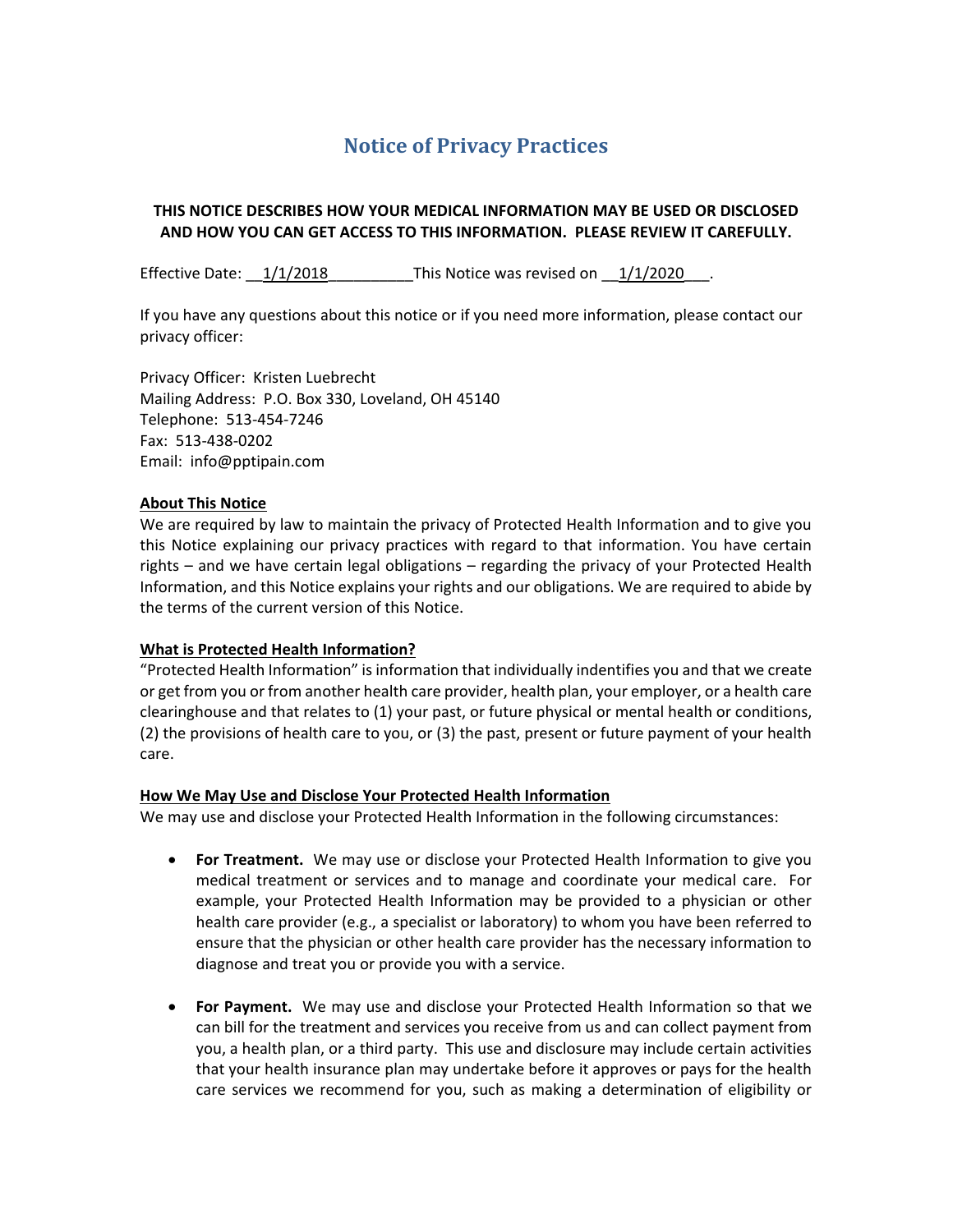# **Notice of Privacy Practices**

# **THIS NOTICE DESCRIBES HOW YOUR MEDICAL INFORMATION MAY BE USED OR DISCLOSED AND HOW YOU CAN GET ACCESS TO THIS INFORMATION. PLEASE REVIEW IT CAREFULLY.**

Effective Date:  $\frac{1}{1/2018}$  This Notice was revised on  $\frac{1}{1/2020}$ .

If you have any questions about this notice or if you need more information, please contact our privacy officer:

Privacy Officer: Kristen Luebrecht Mailing Address: P.O. Box 330, Loveland, OH 45140 Telephone: 513-454-7246 Fax: 513-438-0202 Email: info@pptipain.com

# **About This Notice**

We are required by law to maintain the privacy of Protected Health Information and to give you this Notice explaining our privacy practices with regard to that information. You have certain rights – and we have certain legal obligations – regarding the privacy of your Protected Health Information, and this Notice explains your rights and our obligations. We are required to abide by the terms of the current version of this Notice.

# **What is Protected Health Information?**

"Protected Health Information" is information that individually indentifies you and that we create or get from you or from another health care provider, health plan, your employer, or a health care clearinghouse and that relates to (1) your past, or future physical or mental health or conditions, (2) the provisions of health care to you, or (3) the past, present or future payment of your health care.

# **How We May Use and Disclose Your Protected Health Information**

We may use and disclose your Protected Health Information in the following circumstances:

- **For Treatment.** We may use or disclose your Protected Health Information to give you medical treatment or services and to manage and coordinate your medical care. For example, your Protected Health Information may be provided to a physician or other health care provider (e.g., a specialist or laboratory) to whom you have been referred to ensure that the physician or other health care provider has the necessary information to diagnose and treat you or provide you with a service.
- **For Payment.** We may use and disclose your Protected Health Information so that we can bill for the treatment and services you receive from us and can collect payment from you, a health plan, or a third party. This use and disclosure may include certain activities that your health insurance plan may undertake before it approves or pays for the health care services we recommend for you, such as making a determination of eligibility or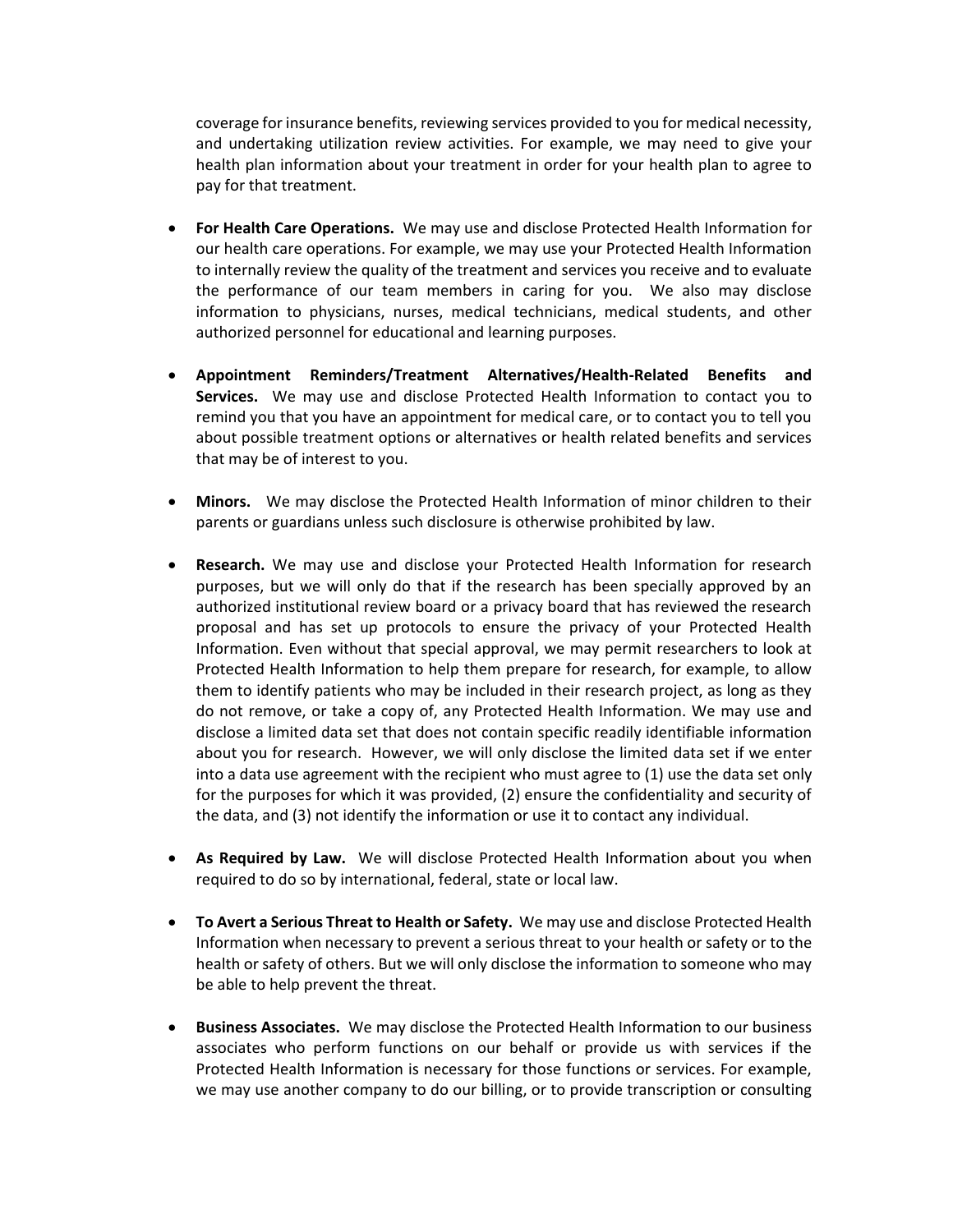coverage for insurance benefits, reviewing services provided to you for medical necessity, and undertaking utilization review activities. For example, we may need to give your health plan information about your treatment in order for your health plan to agree to pay for that treatment.

- **For Health Care Operations.** We may use and disclose Protected Health Information for our health care operations. For example, we may use your Protected Health Information to internally review the quality of the treatment and services you receive and to evaluate the performance of our team members in caring for you. We also may disclose information to physicians, nurses, medical technicians, medical students, and other authorized personnel for educational and learning purposes.
- **Appointment Reminders/Treatment Alternatives/Health-Related Benefits and Services.** We may use and disclose Protected Health Information to contact you to remind you that you have an appointment for medical care, or to contact you to tell you about possible treatment options or alternatives or health related benefits and services that may be of interest to you.
- **Minors.** We may disclose the Protected Health Information of minor children to their parents or guardians unless such disclosure is otherwise prohibited by law.
- **Research.** We may use and disclose your Protected Health Information for research purposes, but we will only do that if the research has been specially approved by an authorized institutional review board or a privacy board that has reviewed the research proposal and has set up protocols to ensure the privacy of your Protected Health Information. Even without that special approval, we may permit researchers to look at Protected Health Information to help them prepare for research, for example, to allow them to identify patients who may be included in their research project, as long as they do not remove, or take a copy of, any Protected Health Information. We may use and disclose a limited data set that does not contain specific readily identifiable information about you for research. However, we will only disclose the limited data set if we enter into a data use agreement with the recipient who must agree to (1) use the data set only for the purposes for which it was provided, (2) ensure the confidentiality and security of the data, and (3) not identify the information or use it to contact any individual.
- **As Required by Law.** We will disclose Protected Health Information about you when required to do so by international, federal, state or local law.
- **To Avert a Serious Threat to Health or Safety.** We may use and disclose Protected Health Information when necessary to prevent a serious threat to your health or safety or to the health or safety of others. But we will only disclose the information to someone who may be able to help prevent the threat.
- **Business Associates.** We may disclose the Protected Health Information to our business associates who perform functions on our behalf or provide us with services if the Protected Health Information is necessary for those functions or services. For example, we may use another company to do our billing, or to provide transcription or consulting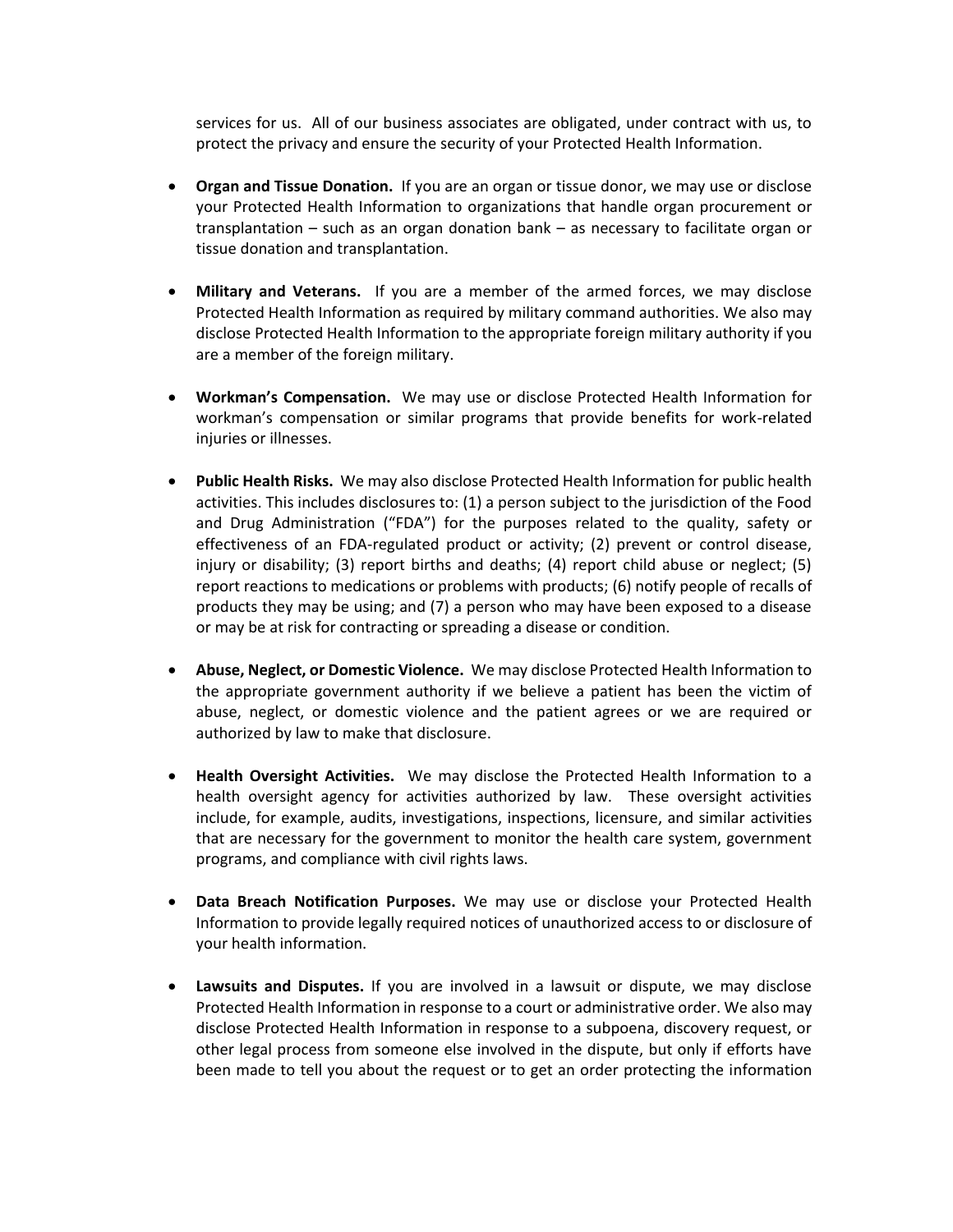services for us. All of our business associates are obligated, under contract with us, to protect the privacy and ensure the security of your Protected Health Information.

- **Organ and Tissue Donation.** If you are an organ or tissue donor, we may use or disclose your Protected Health Information to organizations that handle organ procurement or transplantation – such as an organ donation bank – as necessary to facilitate organ or tissue donation and transplantation.
- **Military and Veterans.** If you are a member of the armed forces, we may disclose Protected Health Information as required by military command authorities. We also may disclose Protected Health Information to the appropriate foreign military authority if you are a member of the foreign military.
- **Workman's Compensation.** We may use or disclose Protected Health Information for workman's compensation or similar programs that provide benefits for work-related iniuries or illnesses.
- **Public Health Risks.** We may also disclose Protected Health Information for public health activities. This includes disclosures to: (1) a person subject to the jurisdiction of the Food and Drug Administration ("FDA") for the purposes related to the quality, safety or effectiveness of an FDA-regulated product or activity; (2) prevent or control disease, injury or disability; (3) report births and deaths; (4) report child abuse or neglect; (5) report reactions to medications or problems with products; (6) notify people of recalls of products they may be using; and (7) a person who may have been exposed to a disease or may be at risk for contracting or spreading a disease or condition.
- **Abuse, Neglect, or Domestic Violence.** We may disclose Protected Health Information to the appropriate government authority if we believe a patient has been the victim of abuse, neglect, or domestic violence and the patient agrees or we are required or authorized by law to make that disclosure.
- **Health Oversight Activities.** We may disclose the Protected Health Information to a health oversight agency for activities authorized by law. These oversight activities include, for example, audits, investigations, inspections, licensure, and similar activities that are necessary for the government to monitor the health care system, government programs, and compliance with civil rights laws.
- **Data Breach Notification Purposes.** We may use or disclose your Protected Health Information to provide legally required notices of unauthorized access to or disclosure of your health information.
- **Lawsuits and Disputes.** If you are involved in a lawsuit or dispute, we may disclose Protected Health Information in response to a court or administrative order. We also may disclose Protected Health Information in response to a subpoena, discovery request, or other legal process from someone else involved in the dispute, but only if efforts have been made to tell you about the request or to get an order protecting the information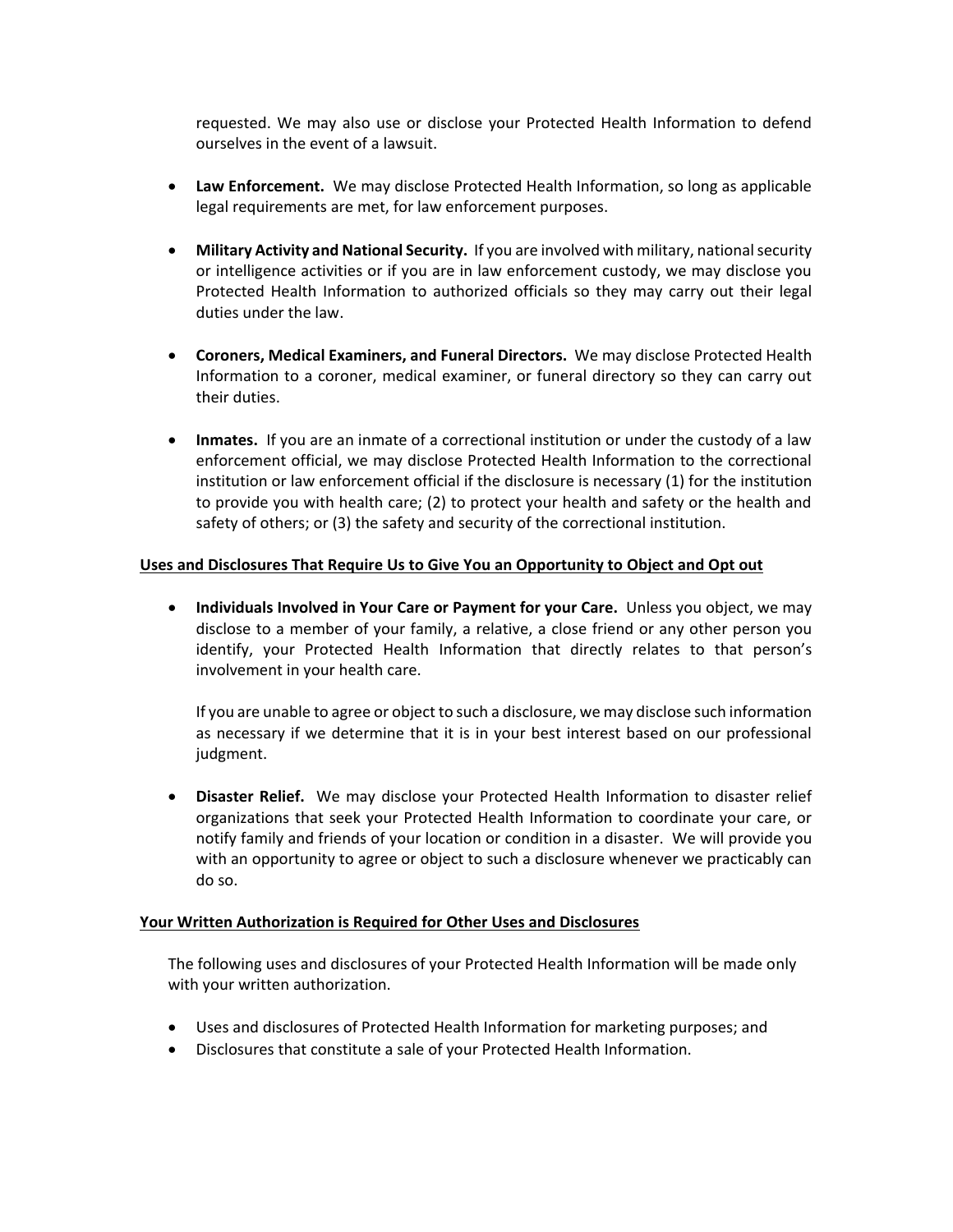requested. We may also use or disclose your Protected Health Information to defend ourselves in the event of a lawsuit.

- **Law Enforcement.** We may disclose Protected Health Information, so long as applicable legal requirements are met, for law enforcement purposes.
- **Military Activity and National Security.** If you are involved with military, national security or intelligence activities or if you are in law enforcement custody, we may disclose you Protected Health Information to authorized officials so they may carry out their legal duties under the law.
- **Coroners, Medical Examiners, and Funeral Directors.** We may disclose Protected Health Information to a coroner, medical examiner, or funeral directory so they can carry out their duties.
- **Inmates.** If you are an inmate of a correctional institution or under the custody of a law enforcement official, we may disclose Protected Health Information to the correctional institution or law enforcement official if the disclosure is necessary (1) for the institution to provide you with health care; (2) to protect your health and safety or the health and safety of others; or (3) the safety and security of the correctional institution.

# **Uses and Disclosures That Require Us to Give You an Opportunity to Object and Opt out**

**• Individuals Involved in Your Care or Payment for your Care.** Unless you object, we may disclose to a member of your family, a relative, a close friend or any other person you identify, your Protected Health Information that directly relates to that person's involvement in your health care.

If you are unable to agree or object to such a disclosure, we may disclose such information as necessary if we determine that it is in your best interest based on our professional judgment.

 **Disaster Relief.** We may disclose your Protected Health Information to disaster relief organizations that seek your Protected Health Information to coordinate your care, or notify family and friends of your location or condition in a disaster. We will provide you with an opportunity to agree or object to such a disclosure whenever we practicably can do so.

#### **Your Written Authorization is Required for Other Uses and Disclosures**

The following uses and disclosures of your Protected Health Information will be made only with your written authorization.

- Uses and disclosures of Protected Health Information for marketing purposes; and
- Disclosures that constitute a sale of your Protected Health Information.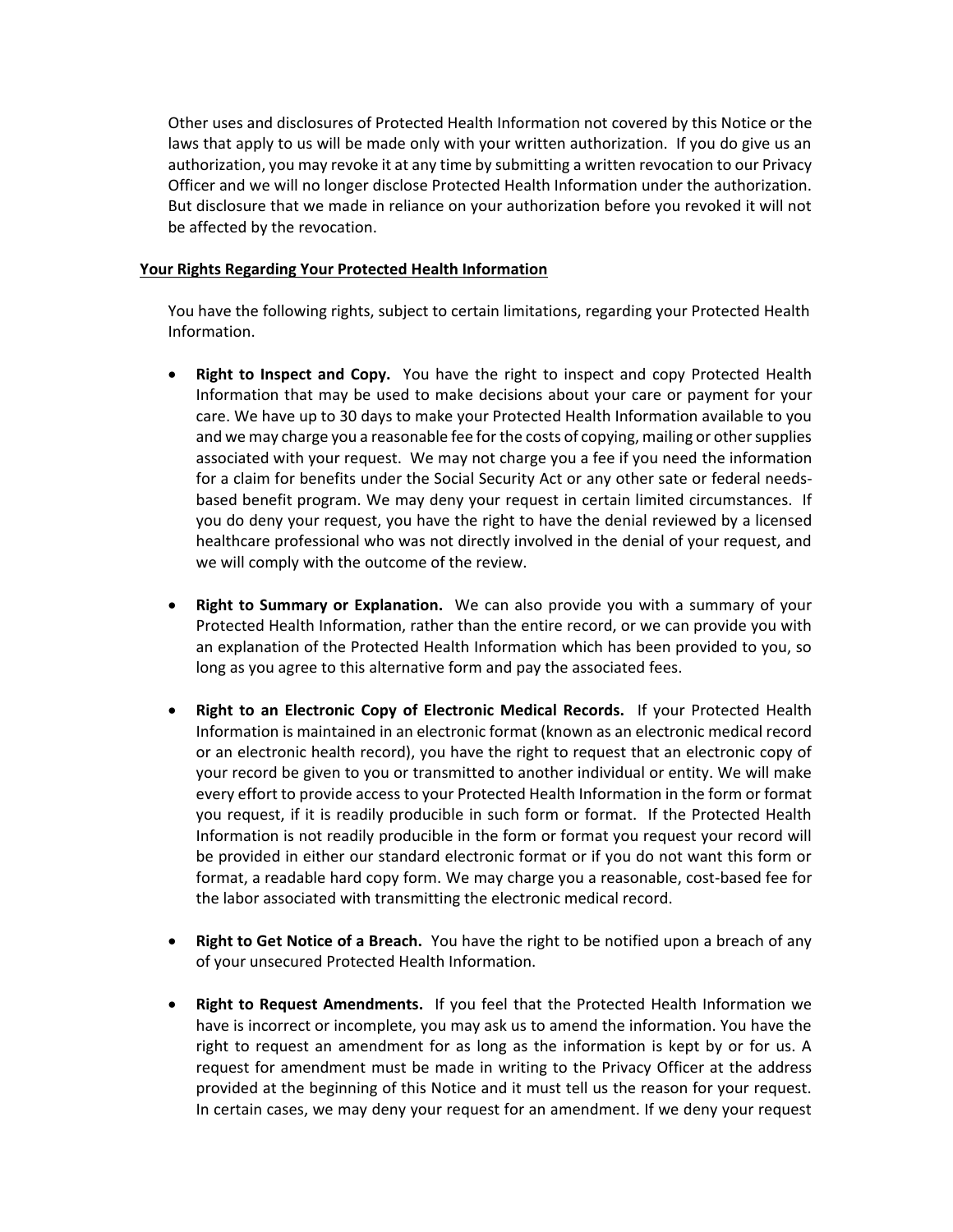Other uses and disclosures of Protected Health Information not covered by this Notice or the laws that apply to us will be made only with your written authorization. If you do give us an authorization, you may revoke it at any time by submitting a written revocation to our Privacy Officer and we will no longer disclose Protected Health Information under the authorization. But disclosure that we made in reliance on your authorization before you revoked it will not be affected by the revocation.

## **Your Rights Regarding Your Protected Health Information**

You have the following rights, subject to certain limitations, regarding your Protected Health Information.

- **Right to Inspect and Copy.** You have the right to inspect and copy Protected Health Information that may be used to make decisions about your care or payment for your care. We have up to 30 days to make your Protected Health Information available to you and we may charge you a reasonable fee for the costs of copying, mailing or other supplies associated with your request. We may not charge you a fee if you need the information for a claim for benefits under the Social Security Act or any other sate or federal needsbased benefit program. We may deny your request in certain limited circumstances. If you do deny your request, you have the right to have the denial reviewed by a licensed healthcare professional who was not directly involved in the denial of your request, and we will comply with the outcome of the review.
- **Right to Summary or Explanation.** We can also provide you with a summary of your Protected Health Information, rather than the entire record, or we can provide you with an explanation of the Protected Health Information which has been provided to you, so long as you agree to this alternative form and pay the associated fees.
- **Right to an Electronic Copy of Electronic Medical Records.** If your Protected Health Information is maintained in an electronic format (known as an electronic medical record or an electronic health record), you have the right to request that an electronic copy of your record be given to you or transmitted to another individual or entity. We will make every effort to provide access to your Protected Health Information in the form or format you request, if it is readily producible in such form or format. If the Protected Health Information is not readily producible in the form or format you request your record will be provided in either our standard electronic format or if you do not want this form or format, a readable hard copy form. We may charge you a reasonable, cost-based fee for the labor associated with transmitting the electronic medical record.
- **Right to Get Notice of a Breach.** You have the right to be notified upon a breach of any of your unsecured Protected Health Information.
- **Right to Request Amendments.** If you feel that the Protected Health Information we have is incorrect or incomplete, you may ask us to amend the information. You have the right to request an amendment for as long as the information is kept by or for us. A request for amendment must be made in writing to the Privacy Officer at the address provided at the beginning of this Notice and it must tell us the reason for your request. In certain cases, we may deny your request for an amendment. If we deny your request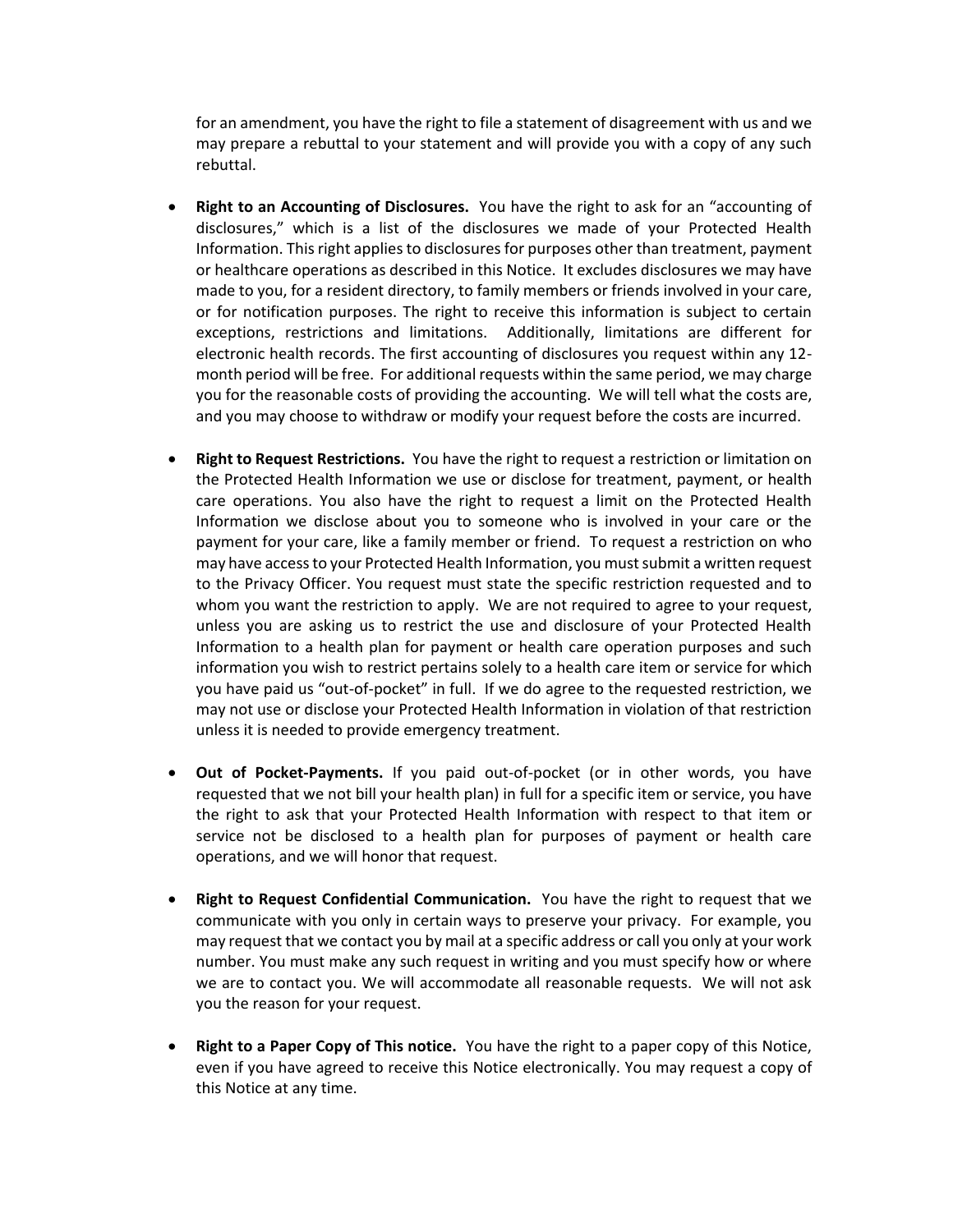for an amendment, you have the right to file a statement of disagreement with us and we may prepare a rebuttal to your statement and will provide you with a copy of any such rebuttal.

- **Right to an Accounting of Disclosures.** You have the right to ask for an "accounting of disclosures," which is a list of the disclosures we made of your Protected Health Information. This right applies to disclosures for purposes other than treatment, payment or healthcare operations as described in this Notice. It excludes disclosures we may have made to you, for a resident directory, to family members or friends involved in your care, or for notification purposes. The right to receive this information is subject to certain exceptions, restrictions and limitations. Additionally, limitations are different for electronic health records. The first accounting of disclosures you request within any 12 month period will be free. For additional requests within the same period, we may charge you for the reasonable costs of providing the accounting. We will tell what the costs are, and you may choose to withdraw or modify your request before the costs are incurred.
- **Right to Request Restrictions.** You have the right to request a restriction or limitation on the Protected Health Information we use or disclose for treatment, payment, or health care operations. You also have the right to request a limit on the Protected Health Information we disclose about you to someone who is involved in your care or the payment for your care, like a family member or friend. To request a restriction on who may have access to your Protected Health Information, you must submit a written request to the Privacy Officer. You request must state the specific restriction requested and to whom you want the restriction to apply. We are not required to agree to your request, unless you are asking us to restrict the use and disclosure of your Protected Health Information to a health plan for payment or health care operation purposes and such information you wish to restrict pertains solely to a health care item or service for which you have paid us "out-of-pocket" in full. If we do agree to the requested restriction, we may not use or disclose your Protected Health Information in violation of that restriction unless it is needed to provide emergency treatment.
- **Out of Pocket-Payments.** If you paid out-of-pocket (or in other words, you have requested that we not bill your health plan) in full for a specific item or service, you have the right to ask that your Protected Health Information with respect to that item or service not be disclosed to a health plan for purposes of payment or health care operations, and we will honor that request.
- **Right to Request Confidential Communication.** You have the right to request that we communicate with you only in certain ways to preserve your privacy. For example, you may request that we contact you by mail at a specific address or call you only at your work number. You must make any such request in writing and you must specify how or where we are to contact you. We will accommodate all reasonable requests. We will not ask you the reason for your request.
- **Right to a Paper Copy of This notice.** You have the right to a paper copy of this Notice, even if you have agreed to receive this Notice electronically. You may request a copy of this Notice at any time.